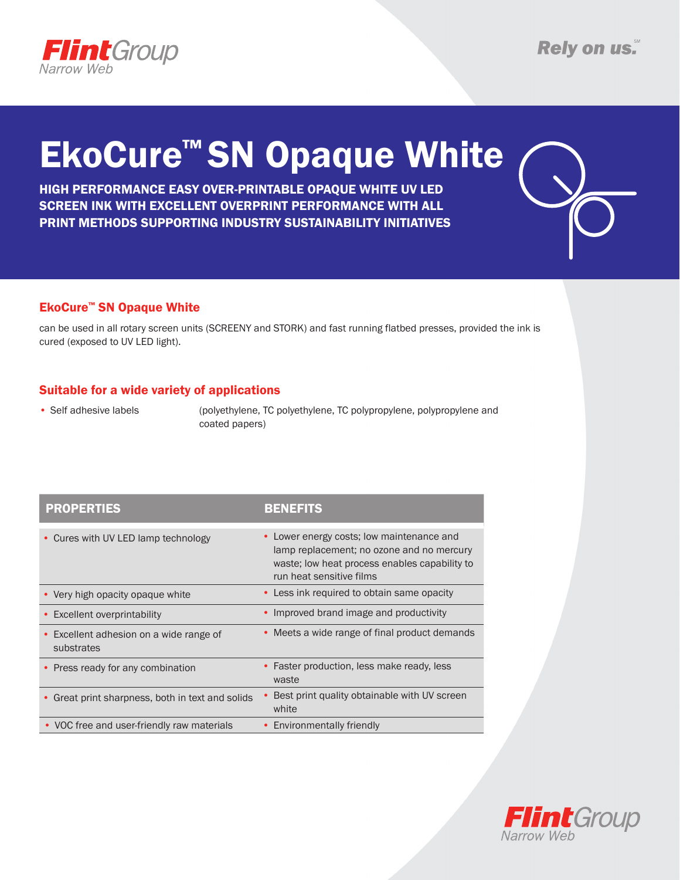

# EkoCure™ SN Opaque White

HIGH PERFORMANCE EASY OVER-PRINTABLE OPAQUE WHITE UV LED SCREEN INK WITH EXCELLENT OVERPRINT PERFORMANCE WITH ALL PRINT METHODS SUPPORTING INDUSTRY SUSTAINABILITY INITIATIVES



### EkoCure™ SN Opaque White

can be used in all rotary screen units (SCREENY and STORK) and fast running flatbed presses, provided the ink is cured (exposed to UV LED light).

### Suitable for a wide variety of applications

• Self adhesive labels (polyethylene, TC polyethylene, TC polypropylene, polypropylene and coated papers)

| <b>PROPERTIES</b>                                     | <b>BENEFITS</b>                                                                                                                                                        |
|-------------------------------------------------------|------------------------------------------------------------------------------------------------------------------------------------------------------------------------|
| • Cures with UV LED lamp technology                   | Lower energy costs; low maintenance and<br>٠<br>lamp replacement; no ozone and no mercury<br>waste; low heat process enables capability to<br>run heat sensitive films |
| • Very high opacity opaque white                      | Less ink required to obtain same opacity<br>٠                                                                                                                          |
| • Excellent overprintability                          | • Improved brand image and productivity                                                                                                                                |
| • Excellent adhesion on a wide range of<br>substrates | • Meets a wide range of final product demands                                                                                                                          |
| • Press ready for any combination                     | Faster production, less make ready, less<br>٠<br>waste                                                                                                                 |
| • Great print sharpness, both in text and solids      | Best print quality obtainable with UV screen<br>white                                                                                                                  |
| • VOC free and user-friendly raw materials            | Environmentally friendly                                                                                                                                               |